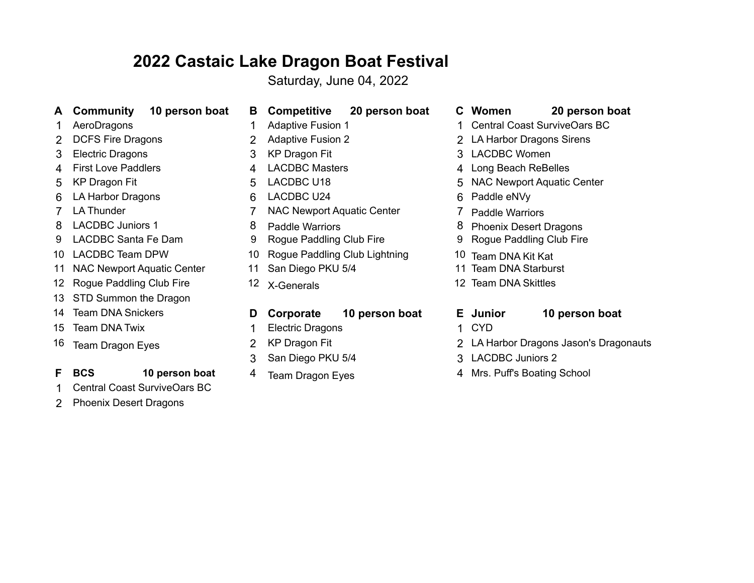# **2022 Castaic Lake Dragon Boat Festival**

Saturday, June 04, 2022

- **A Community 10 person boat B Competitive 20 person boat C Women 20 person boat**
- 
- 
- 
- 
- 
- 6 LA Harbor Dragons 6 LACDBC U24 6 Paddle eNVy
- 
- 
- 
- 
- 11 NAC Newport Aquatic Center 11 San Diego PKU 5/4 11 Team DNA Starburst
- 12 Rogue Paddling Club Fire 12 X-Generals 12 Team DNA Skittles
- 13 STD Summon the Dragon
- 
- 
- 

## **F BCS** 10 person boat 4 Team Dragon Eyes 4 Mrs. Puff's Boating School

- 1 Central Coast SurviveOars BC
- 2 Phoenix Desert Dragons
- 
- 
- 
- 
- 
- 
- 
- 7 LA Thunder **7 Contract Manual 2015** 7 NAC Newport Aquatic Center **7 Paddle Warriors** 
	-
	-
- 10 LACDBC Team DPW 10 Rogue Paddling Club Lightning 10 Team DNA Kit Kat
	-
	-

## 14 Team DNA Snickers **D Corporate 10 person boat E Junior 10 person boat**

- 15 Team DNA Twix **1 CYD** 1 Electric Dragons 1 CYD
	-
	- 3 San Diego PKU 5/4 3 LACDBC Juniors 2
	-
- 
- 1 AeroDragons 1 Adaptive Fusion 1 1 1 Adaptive Fusion 1 1 2 Central Coast SurviveOars BC
- 2 DCFS Fire Dragons 2 2 Adaptive Fusion 2 2 2 LA Harbor Dragons Sirens
- 3 Electric Dragons 3 KP Dragon Fit 3 LACDBC Women
- 4 First Love Paddlers **4 ACDBC Masters** 4 ACDBC Masters 4 A Long Beach ReBelles
- 5 KP Dragon Fit **5 LACDBC U18** 5 S LACDBC U18 5 NAC Newport Aquatic Center
	-
	-
- 8 LACDBC Juniors 1 8 Paddle Warriors 8 Phoenix Desert Dragons
- 9 LACDBC Santa Fe Dam 9 Rogue Paddling Club Fire 9 Rogue Paddling Club Fire
	-
	-
	-
	-
	-
- 16 Team Dragon Eyes 2 KP Dragon Fit 2 2 2 LA Harbor Dragons Jason's Dragonauts
	-
	-